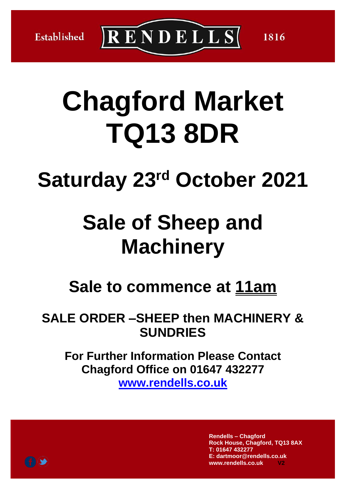Established

 $\overline{\text{R} \text{E}}$ NDELLS

# **Chagford Market TQ13 8DR**

## **Saturday 23rd October 2021**

## **Sale of Sheep and Machinery**

## **Sale to commence at 11am**

## **SALE ORDER –SHEEP then MACHINERY & SUNDRIES**

**For Further Information Please Contact Chagford Office on 01647 432277 [www.rendells.co.uk](http://www.rendells.co.uk/)**

> **Rendells – Chagford Rock House, Chagford, TQ13 8AX T: 01647 432277 E: dartmoor@rendells.co.uk www.rendells.co.uk V2**

1816

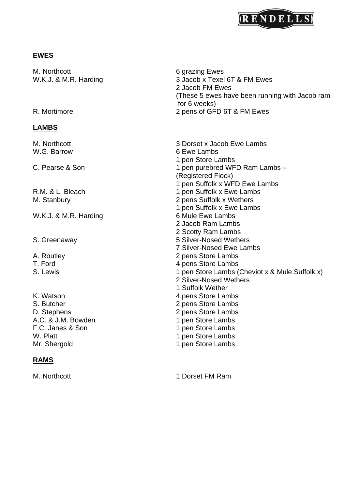

### **EWES**

| M. Northcott<br>W.K.J. & M.R. Harding<br>R. Mortimore | 6 grazing Ewes<br>3 Jacob x Texel 6T & FM Ewes<br>2 Jacob FM Ewes<br>(These 5 ewes have been running with Jacob ram<br>for 6 weeks)<br>2 pens of GFD 6T & FM Ewes |
|-------------------------------------------------------|-------------------------------------------------------------------------------------------------------------------------------------------------------------------|
|                                                       |                                                                                                                                                                   |
| M. Northcott<br>W.G. Barrow                           | 3 Dorset x Jacob Ewe Lambs<br>6 Ewe Lambs<br>1 pen Store Lambs                                                                                                    |
| C. Pearse & Son                                       | 1 pen purebred WFD Ram Lambs -<br>(Registered Flock)<br>1 pen Suffolk x WFD Ewe Lambs                                                                             |
| R.M. & L. Bleach                                      | 1 pen Suffolk x Ewe Lambs                                                                                                                                         |
| M. Stanbury                                           | 2 pens Suffolk x Wethers<br>1 pen Suffolk x Ewe Lambs                                                                                                             |
| W.K.J. & M.R. Harding                                 | 6 Mule Ewe Lambs<br>2 Jacob Ram Lambs<br>2 Scotty Ram Lambs                                                                                                       |
| S. Greenaway                                          | 5 Silver-Nosed Wethers<br><b>7 Silver-Nosed Ewe Lambs</b>                                                                                                         |
| A. Routley                                            | 2 pens Store Lambs                                                                                                                                                |
| T. Ford                                               | 4 pens Store Lambs                                                                                                                                                |
| S. Lewis                                              | 1 pen Store Lambs (Cheviot x & Mule Suffolk x)<br>2 Silver-Nosed Wethers<br>1 Suffolk Wether                                                                      |
| K. Watson                                             | 4 pens Store Lambs                                                                                                                                                |
| S. Butcher                                            | 2 pens Store Lambs                                                                                                                                                |
| D. Stephens                                           | 2 pens Store Lambs                                                                                                                                                |
| A.C. & J.M. Bowden                                    | 1 pen Store Lambs                                                                                                                                                 |
| F.C. Janes & Son                                      | 1 pen Store Lambs                                                                                                                                                 |
| W. Platt                                              | 1 pen Store Lambs                                                                                                                                                 |
| Mr. Shergold                                          | 1 pen Store Lambs                                                                                                                                                 |

### **RAMS**

M. Northcott 1 Dorset FM Ram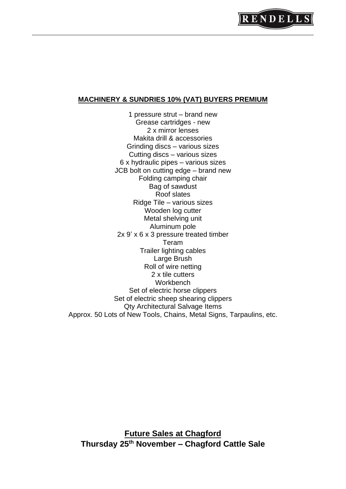#### **MACHINERY & SUNDRIES 10% (VAT) BUYERS PREMIUM**

1 pressure strut – brand new Grease cartridges - new 2 x mirror lenses Makita drill & accessories Grinding discs – various sizes Cutting discs – various sizes 6 x hydraulic pipes – various sizes JCB bolt on cutting edge – brand new Folding camping chair Bag of sawdust Roof slates Ridge Tile – various sizes Wooden log cutter Metal shelving unit Aluminum pole 2x 9' x 6 x 3 pressure treated timber Teram Trailer lighting cables Large Brush Roll of wire netting 2 x tile cutters **Workbench** Set of electric horse clippers Set of electric sheep shearing clippers Qty Architectural Salvage Items Approx. 50 Lots of New Tools, Chains, Metal Signs, Tarpaulins, etc.

**Future Sales at Chagford Thursday 25th November – Chagford Cattle Sale**